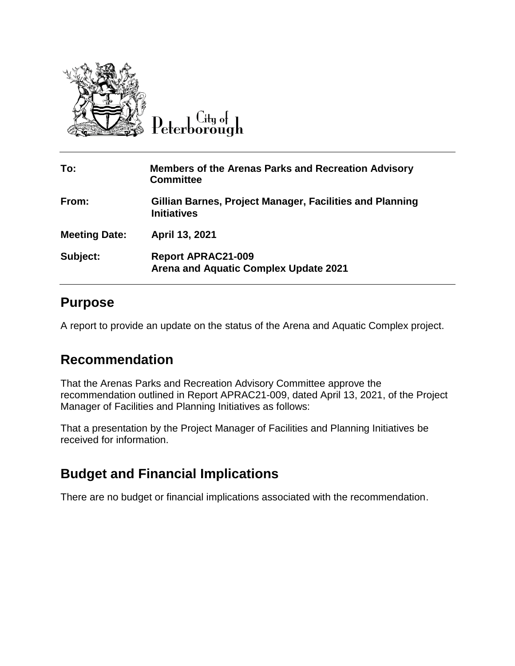

Peterborough

| To:                  | <b>Members of the Arenas Parks and Recreation Advisory</b><br><b>Committee</b> |
|----------------------|--------------------------------------------------------------------------------|
| From:                | Gillian Barnes, Project Manager, Facilities and Planning<br><b>Initiatives</b> |
| <b>Meeting Date:</b> | April 13, 2021                                                                 |
| Subject:             | <b>Report APRAC21-009</b><br><b>Arena and Aquatic Complex Update 2021</b>      |

#### **Purpose**

A report to provide an update on the status of the Arena and Aquatic Complex project.

### **Recommendation**

That the Arenas Parks and Recreation Advisory Committee approve the recommendation outlined in Report APRAC21-009, dated April 13, 2021, of the Project Manager of Facilities and Planning Initiatives as follows:

That a presentation by the Project Manager of Facilities and Planning Initiatives be received for information.

## **Budget and Financial Implications**

There are no budget or financial implications associated with the recommendation.